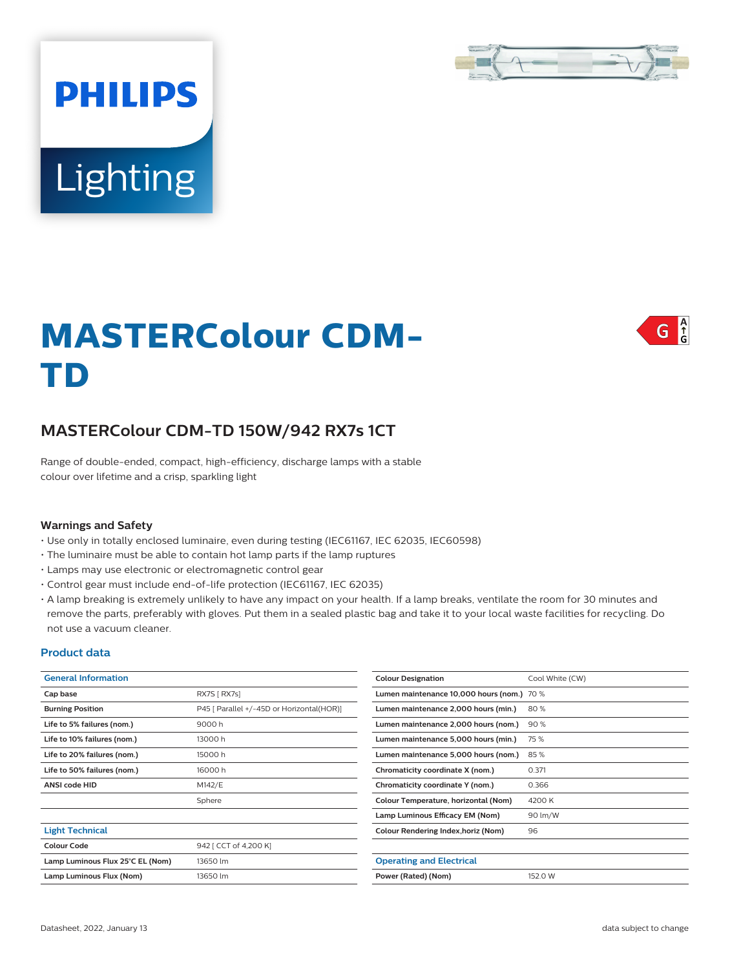

# **Lighting**

**PHILIPS** 

## A<br>G G

# **MASTERColour CDM-TD**

# **MASTERColour CDM-TD 150W/942 RX7s 1CT**

Range of double-ended, compact, high-efficiency, discharge lamps with a stable colour over lifetime and a crisp, sparkling light

#### **Warnings and Safety**

- Use only in totally enclosed luminaire, even during testing (IEC61167, IEC 62035, IEC60598)
- The luminaire must be able to contain hot lamp parts if the lamp ruptures
- Lamps may use electronic or electromagnetic control gear
- Control gear must include end-of-life protection (IEC61167, IEC 62035)
- A lamp breaking is extremely unlikely to have any impact on your health. If a lamp breaks, ventilate the room for 30 minutes and remove the parts, preferably with gloves. Put them in a sealed plastic bag and take it to your local waste facilities for recycling. Do not use a vacuum cleaner.

#### **Product data**

| <b>General Information</b>       |                                           | <b>Colour Designation</b>                  | Cool White (CW) |  |
|----------------------------------|-------------------------------------------|--------------------------------------------|-----------------|--|
| Cap base                         | RX7S [ RX7s]                              | Lumen maintenance 10,000 hours (nom.) 70 % |                 |  |
| <b>Burning Position</b>          | P45 [ Parallel +/-45D or Horizontal(HOR)] | Lumen maintenance 2,000 hours (min.)       | 80%             |  |
| Life to 5% failures (nom.)       | 9000h                                     | Lumen maintenance 2,000 hours (nom.)       | 90%             |  |
| Life to 10% failures (nom.)      | 13000h                                    | Lumen maintenance 5,000 hours (min.)       | 75 %            |  |
| Life to 20% failures (nom.)      | 15000h                                    | Lumen maintenance 5,000 hours (nom.)       | 85%             |  |
| Life to 50% failures (nom.)      | 16000h                                    | Chromaticity coordinate X (nom.)           | 0.371           |  |
| <b>ANSI code HID</b>             | M142/E                                    | Chromaticity coordinate Y (nom.)           | 0.366           |  |
|                                  | Sphere                                    | Colour Temperature, horizontal (Nom)       | 4200 K          |  |
|                                  |                                           | Lamp Luminous Efficacy EM (Nom)            | 90 lm/W         |  |
| <b>Light Technical</b>           |                                           | Colour Rendering Index, horiz (Nom)        | 96              |  |
| <b>Colour Code</b>               | 942 [ CCT of 4,200 K]                     |                                            |                 |  |
| Lamp Luminous Flux 25°C EL (Nom) | 13650 lm                                  | <b>Operating and Electrical</b>            |                 |  |
| Lamp Luminous Flux (Nom)         | 13650 lm                                  | Power (Rated) (Nom)                        | 152.0 W         |  |
|                                  |                                           |                                            |                 |  |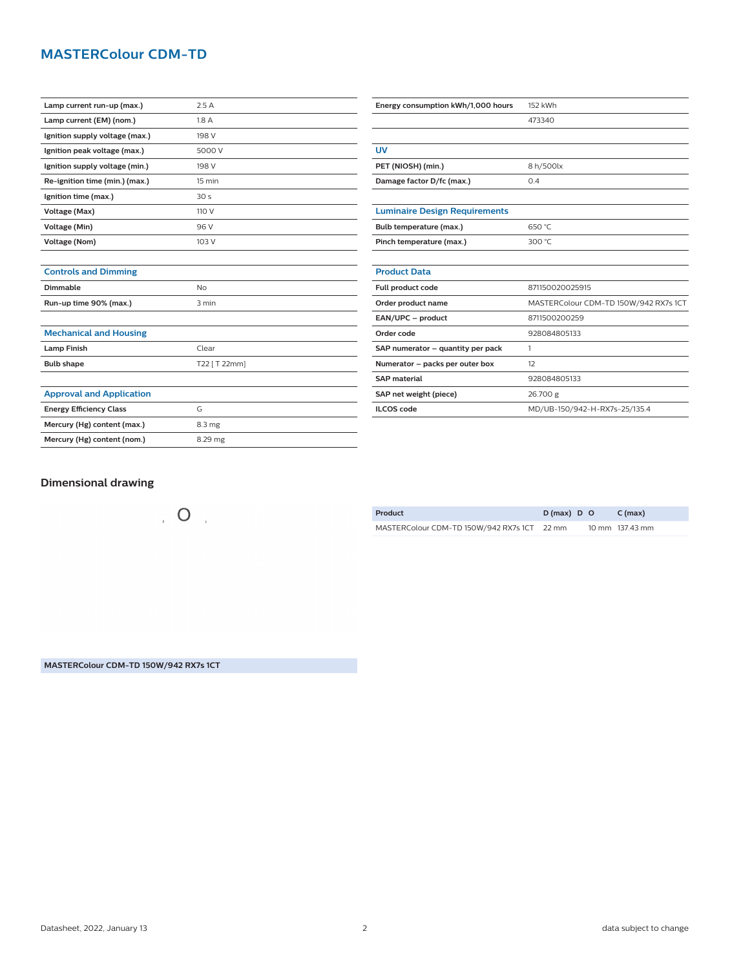# **MASTERColour CDM-TD**

| Lamp current run-up (max.)     | 2.5A             |
|--------------------------------|------------------|
| Lamp current (EM) (nom.)       | 1.8 A            |
| Ignition supply voltage (max.) | 198 V            |
| Ignition peak voltage (max.)   | 5000 V           |
| Ignition supply voltage (min.) | 198 V            |
| Re-ignition time (min.) (max.) | $15 \text{ min}$ |
| Ignition time (max.)           | 30 <sub>s</sub>  |
| Voltage (Max)                  | 110 V            |
| Voltage (Min)                  | 96 V             |
| Voltage (Nom)                  | 103 V            |
|                                |                  |

| Energy consumption kWh/1,000 hours   | 152 kWh                               |  |  |
|--------------------------------------|---------------------------------------|--|--|
|                                      | 473340                                |  |  |
|                                      |                                       |  |  |
| UV                                   |                                       |  |  |
| PET (NIOSH) (min.)                   | 8 h/500lx                             |  |  |
| Damage factor D/fc (max.)            | 0.4                                   |  |  |
|                                      |                                       |  |  |
| <b>Luminaire Design Requirements</b> |                                       |  |  |
| Bulb temperature (max.)              | 650 °C                                |  |  |
| Pinch temperature (max.)             | 300 °C                                |  |  |
|                                      |                                       |  |  |
| <b>Product Data</b>                  |                                       |  |  |
| Full product code                    | 871150020025915                       |  |  |
| Order product name                   | MASTERColour CDM-TD 150W/942 RX7s 1CT |  |  |
| EAN/UPC - product                    | 8711500200259                         |  |  |
| Order code                           | 928084805133                          |  |  |
| SAP numerator - quantity per pack    | 1                                     |  |  |
| Numerator - packs per outer box      | 12                                    |  |  |
| <b>SAP</b> material                  | 928084805133                          |  |  |
| SAP net weight (piece)               | 26.700 g                              |  |  |
| <b>ILCOS</b> code                    | MD/UB-150/942-H-RX7s-25/135.4         |  |  |

### **Dimensional drawing**

**Controls and Dimming**

**Mechanical and Housing**

**Approval and Application**

**Dimmable** No **Run-up time 90% (max.)** 3 min

**Lamp Finish** Clear **Bulb shape** T22 [ T 22mm]

**Energy Efficiency Class G Mercury (Hg) content (max.)** 8.3 mg **Mercury (Hg) content (nom.)** 8.29 mg

 $\overline{O}$ 

| Product                                     | $D(max)$ D O | C (max)         |
|---------------------------------------------|--------------|-----------------|
| MASTERColour CDM-TD 150W/942 RX7s 1CT 22 mm |              | 10 mm 137.43 mm |

**MASTERColour CDM-TD 150W/942 RX7s 1CT**